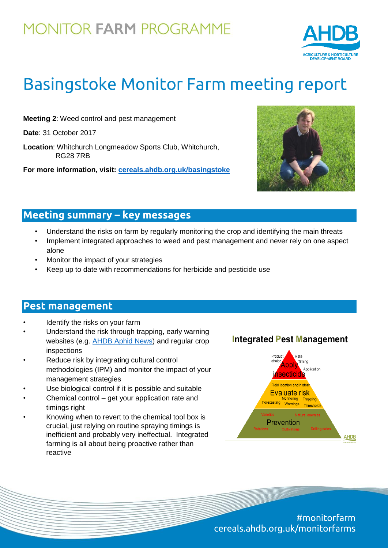## **MONITOR FARM PROGRAMME**



# Basingstoke Monitor Farm meeting report

**Meeting 2**: Weed control and pest management

**Date**: 31 October 2017

**Location**: Whitchurch Longmeadow Sports Club, Whitchurch, RG28 7RB

**For more information, visit: [cereals.ahdb.org.uk/basingstoke](https://cereals.ahdb.org.uk/basingstoke)**



### **Meeting summary – key messages**

- Understand the risks on farm by regularly monitoring the crop and identifying the main threats
- Implement integrated approaches to weed and pest management and never rely on one aspect alone
- Monitor the impact of your strategies
- Keep up to date with recommendations for herbicide and pesticide use

#### **Pest management**

- Identify the risks on your farm
- Understand the risk through trapping, early warning websites (e.g. [AHDB Aphid News\)](https://cereals.ahdb.org.uk/monitoring/aphid-news.aspx) and regular crop inspections
- Reduce risk by integrating cultural control methodologies (IPM) and monitor the impact of your management strategies
- Use biological control if it is possible and suitable
- Chemical control get your application rate and timings right
- Knowing when to revert to the chemical tool box is crucial, just relying on routine spraying timings is inefficient and probably very ineffectual. Integrated farming is all about being proactive rather than reactive

#### **Integrated Pest Management**



#monitorfarm cereals.ahdb.org.uk/monitorfarms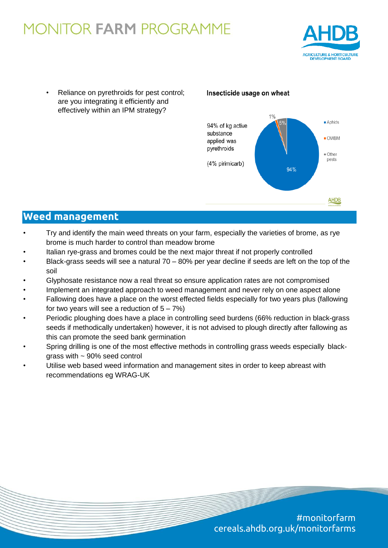## **MONITOR FARM PROGRAMME**



Reliance on pyrethroids for pest control; are you integrating it efficiently and effectively within an IPM strategy?

#### Insecticide usage on wheat



### **Weed management**

- Try and identify the main weed threats on your farm, especially the varieties of brome, as rye brome is much harder to control than meadow brome
- Italian rye-grass and bromes could be the next major threat if not properly controlled
- Black-grass seeds will see a natural 70 80% per year decline if seeds are left on the top of the soil
- Glyphosate resistance now a real threat so ensure application rates are not compromised
- Implement an integrated approach to weed management and never rely on one aspect alone
- Fallowing does have a place on the worst effected fields especially for two years plus (fallowing for two years will see a reduction of  $5 - 7\%)$
- Periodic ploughing does have a place in controlling seed burdens (66% reduction in black-grass seeds if methodically undertaken) however, it is not advised to plough directly after fallowing as this can promote the seed bank germination
- Spring drilling is one of the most effective methods in controlling grass weeds especially blackgrass with  $\sim$  90% seed control
- Utilise web based weed information and management sites in order to keep abreast with recommendations eg WRAG-UK

#monitorfarm cereals.ahdb.org.uk/monitorfarms